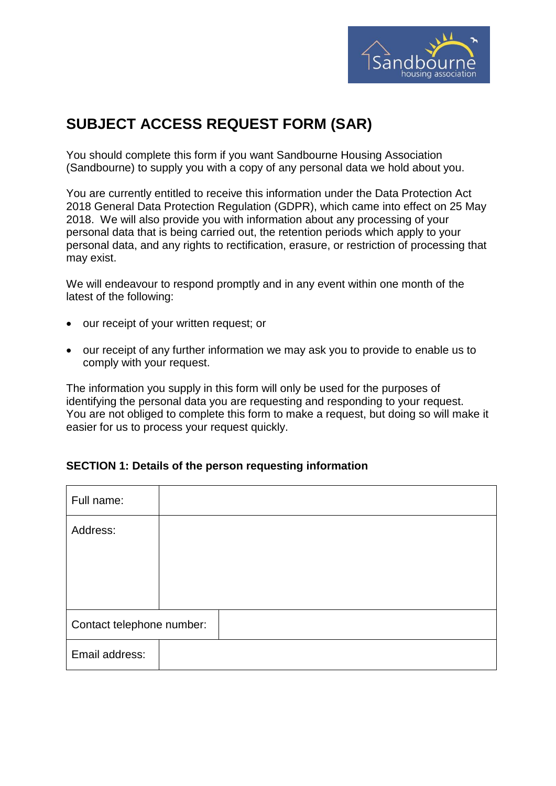

# **SUBJECT ACCESS REQUEST FORM (SAR)**

You should complete this form if you want Sandbourne Housing Association (Sandbourne) to supply you with a copy of any personal data we hold about you.

You are currently entitled to receive this information under the Data Protection Act 2018 General Data Protection Regulation (GDPR), which came into effect on 25 May 2018. We will also provide you with information about any processing of your personal data that is being carried out, the retention periods which apply to your personal data, and any rights to rectification, erasure, or restriction of processing that may exist.

We will endeavour to respond promptly and in any event within one month of the latest of the following:

- our receipt of your written request; or
- our receipt of any further information we may ask you to provide to enable us to comply with your request.

The information you supply in this form will only be used for the purposes of identifying the personal data you are requesting and responding to your request. You are not obliged to complete this form to make a request, but doing so will make it easier for us to process your request quickly.

# **SECTION 1: Details of the person requesting information**

| Full name:                |  |  |
|---------------------------|--|--|
| Address:                  |  |  |
|                           |  |  |
|                           |  |  |
| Contact telephone number: |  |  |
| Email address:            |  |  |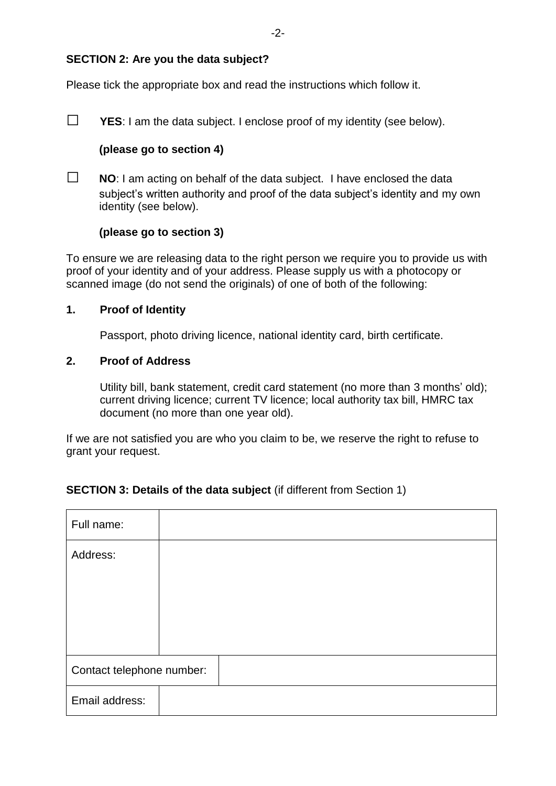# **SECTION 2: Are you the data subject?**

Please tick the appropriate box and read the instructions which follow it.

**□ YES**: I am the data subject. I enclose proof of my identity (see below).

# **(please go to section 4)**

**□ NO**: I am acting on behalf of the data subject. I have enclosed the data subject's written authority and proof of the data subject's identity and my own identity (see below).

# **(please go to section 3)**

To ensure we are releasing data to the right person we require you to provide us with proof of your identity and of your address. Please supply us with a photocopy or scanned image (do not send the originals) of one of both of the following:

# **1. Proof of Identity**

Passport, photo driving licence, national identity card, birth certificate.

#### **2. Proof of Address**

Utility bill, bank statement, credit card statement (no more than 3 months' old); current driving licence; current TV licence; local authority tax bill, HMRC tax document (no more than one year old).

If we are not satisfied you are who you claim to be, we reserve the right to refuse to grant your request.

# **SECTION 3: Details of the data subject** (if different from Section 1)

| Full name:                |  |  |  |
|---------------------------|--|--|--|
| Address:                  |  |  |  |
|                           |  |  |  |
|                           |  |  |  |
|                           |  |  |  |
| Contact telephone number: |  |  |  |
| Email address:            |  |  |  |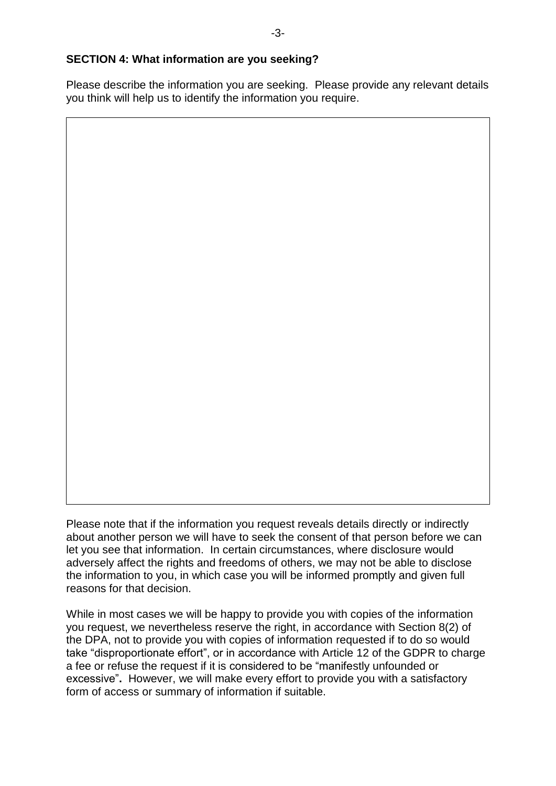# **SECTION 4: What information are you seeking?**

Please describe the information you are seeking. Please provide any relevant details you think will help us to identify the information you require.

Please note that if the information you request reveals details directly or indirectly about another person we will have to seek the consent of that person before we can let you see that information. In certain circumstances, where disclosure would adversely affect the rights and freedoms of others, we may not be able to disclose the information to you, in which case you will be informed promptly and given full reasons for that decision.

While in most cases we will be happy to provide you with copies of the information you request, we nevertheless reserve the right, in accordance with Section 8(2) of the DPA, not to provide you with copies of information requested if to do so would take "disproportionate effort", or in accordance with Article 12 of the GDPR to charge a fee or refuse the request if it is considered to be "manifestly unfounded or excessive"**.** However, we will make every effort to provide you with a satisfactory form of access or summary of information if suitable.